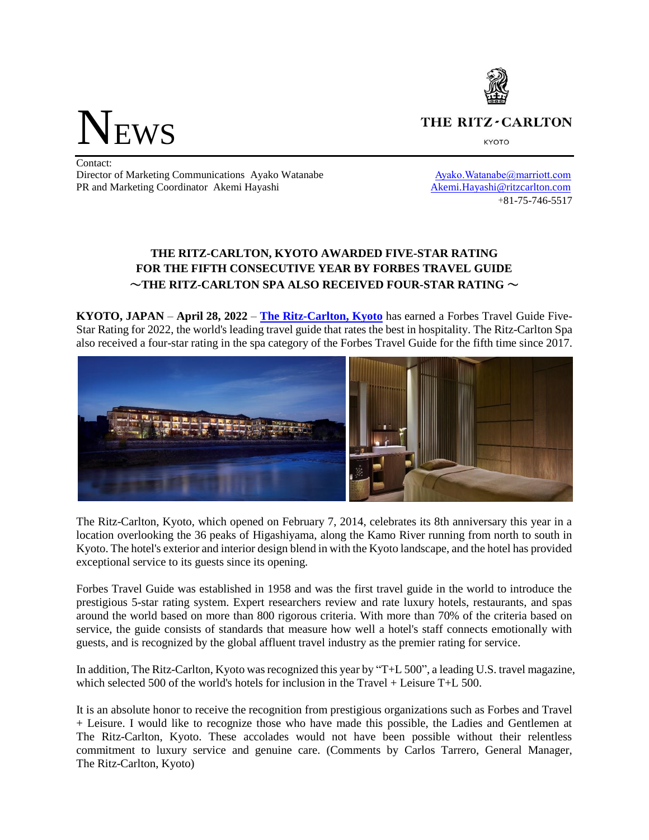THE RITZ-CARLTON

**KYOTO** 

**NEWS** 

Contact: Director of Marketing Communications Ayako Watanabe Ayako.Watanabe Ayako.Watanabe Ayako.Watanabe Ayako.Watanabe Ayako.Watanabe Ayako.Watanabe Ayako.Watanabe Ayako.Watanabe Ayako.Watanabe Ayako.Watanabe Ayako.Watanabe Ayako PR and Marketing Coordinator Akemi Hayashi Akemi.Hayashi [Akemi.Hayashi@ritzcarlton.com](mailto:Akemi.Hayashi@ritzcarlton.com)

+81-75-746-5517

# **THE RITZ-CARLTON, KYOTO AWARDED FIVE-STAR RATING FOR THE FIFTH CONSECUTIVE YEAR BY FORBES TRAVEL GUIDE** ~**THE RITZ-CARLTON SPA ALSO RECEIVED FOUR-STAR RATING** ~

**KYOTO, JAPAN** – **April 28, 2022** – **[The Ritz-Carlton, Kyoto](https://www.ritzcarlton.com/en/hotels/japan/kyoto)** has earned a Forbes Travel Guide Five-Star Rating for 2022, the world's leading travel guide that rates the best in hospitality. The Ritz-Carlton Spa also received a four-star rating in the spa category of the Forbes Travel Guide for the fifth time since 2017.



The Ritz-Carlton, Kyoto, which opened on February 7, 2014, celebrates its 8th anniversary this year in a location overlooking the 36 peaks of Higashiyama, along the Kamo River running from north to south in Kyoto. The hotel's exterior and interior design blend in with the Kyoto landscape, and the hotel has provided exceptional service to its guests since its opening.

Forbes Travel Guide was established in 1958 and was the first travel guide in the world to introduce the prestigious 5-star rating system. Expert researchers review and rate luxury hotels, restaurants, and spas around the world based on more than 800 rigorous criteria. With more than 70% of the criteria based on service, the guide consists of standards that measure how well a hotel's staff connects emotionally with guests, and is recognized by the global affluent travel industry as the premier rating for service.

In addition, The Ritz-Carlton, Kyoto was recognized this year by "T+L 500", a leading U.S. travel magazine, which selected 500 of the world's hotels for inclusion in the Travel + Leisure T+L 500.

It is an absolute honor to receive the recognition from prestigious organizations such as Forbes and Travel + Leisure. I would like to recognize those who have made this possible, the Ladies and Gentlemen at The Ritz-Carlton, Kyoto. These accolades would not have been possible without their relentless commitment to luxury service and genuine care. (Comments by Carlos Tarrero, General Manager, The Ritz-Carlton, Kyoto)